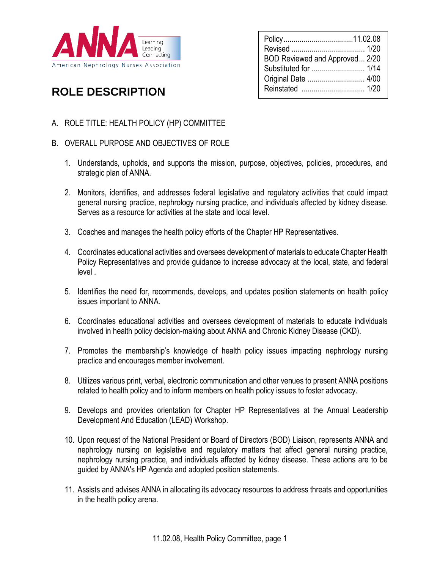

| BOD Reviewed and Approved 2/20 |  |
|--------------------------------|--|
| Substituted for  1/14          |  |
| Original Date  4/00            |  |
|                                |  |

# **ROLE DESCRIPTION**

- A. ROLE TITLE: HEALTH POLICY (HP) COMMITTEE
- B. OVERALL PURPOSE AND OBJECTIVES OF ROLE
	- 1. Understands, upholds, and supports the mission, purpose, objectives, policies, procedures, and strategic plan of ANNA.
	- 2. Monitors, identifies, and addresses federal legislative and regulatory activities that could impact general nursing practice, nephrology nursing practice, and individuals affected by kidney disease. Serves as a resource for activities at the state and local level.
	- 3. Coaches and manages the health policy efforts of the Chapter HP Representatives.
	- 4. Coordinates educational activities and oversees development of materials to educate Chapter Health Policy Representatives and provide guidance to increase advocacy at the local, state, and federal level .
	- 5. Identifies the need for, recommends, develops, and updates position statements on health policy issues important to ANNA.
	- 6. Coordinates educational activities and oversees development of materials to educate individuals involved in health policy decision-making about ANNA and Chronic Kidney Disease (CKD).
	- 7. Promotes the membership's knowledge of health policy issues impacting nephrology nursing practice and encourages member involvement.
	- 8. Utilizes various print, verbal, electronic communication and other venues to present ANNA positions related to health policy and to inform members on health policy issues to foster advocacy.
	- 9. Develops and provides orientation for Chapter HP Representatives at the Annual Leadership Development And Education (LEAD) Workshop.
	- 10. Upon request of the National President or Board of Directors (BOD) Liaison, represents ANNA and nephrology nursing on legislative and regulatory matters that affect general nursing practice, nephrology nursing practice, and individuals affected by kidney disease. These actions are to be guided by ANNA's HP Agenda and adopted position statements.
	- 11. Assists and advises ANNA in allocating its advocacy resources to address threats and opportunities in the health policy arena.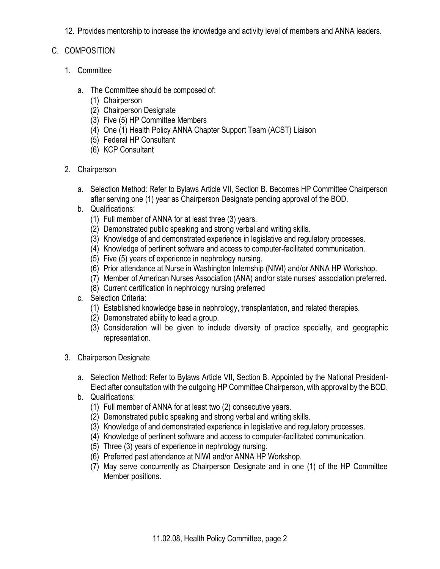12. Provides mentorship to increase the knowledge and activity level of members and ANNA leaders.

## C. COMPOSITION

- 1. Committee
	- a. The Committee should be composed of:
		- (1) Chairperson
		- (2) Chairperson Designate
		- (3) Five (5) HP Committee Members
		- (4) One (1) Health Policy ANNA Chapter Support Team (ACST) Liaison
		- (5) Federal HP Consultant
		- (6) KCP Consultant
- 2. Chairperson
	- a. Selection Method: Refer to Bylaws Article VII, Section B. Becomes HP Committee Chairperson after serving one (1) year as Chairperson Designate pending approval of the BOD.
	- b. Qualifications:
		- (1) Full member of ANNA for at least three (3) years.
		- (2) Demonstrated public speaking and strong verbal and writing skills.
		- (3) Knowledge of and demonstrated experience in legislative and regulatory processes.
		- (4) Knowledge of pertinent software and access to computer-facilitated communication.
		- (5) Five (5) years of experience in nephrology nursing.
		- (6) Prior attendance at Nurse in Washington Internship (NIWI) and/or ANNA HP Workshop.
		- (7) Member of American Nurses Association (ANA) and/or state nurses' association preferred.
		- (8) Current certification in nephrology nursing preferred
	- c. Selection Criteria:
		- (1) Established knowledge base in nephrology, transplantation, and related therapies.
		- (2) Demonstrated ability to lead a group.
		- (3) Consideration will be given to include diversity of practice specialty, and geographic representation.
- 3. Chairperson Designate
	- a. Selection Method: Refer to Bylaws Article VII, Section B. Appointed by the National President-Elect after consultation with the outgoing HP Committee Chairperson, with approval by the BOD.
	- b. Qualifications:
		- (1) Full member of ANNA for at least two (2) consecutive years.
		- (2) Demonstrated public speaking and strong verbal and writing skills.
		- (3) Knowledge of and demonstrated experience in legislative and regulatory processes.
		- (4) Knowledge of pertinent software and access to computer-facilitated communication.
		- (5) Three (3) years of experience in nephrology nursing.
		- (6) Preferred past attendance at NIWI and/or ANNA HP Workshop.
		- (7) May serve concurrently as Chairperson Designate and in one (1) of the HP Committee Member positions.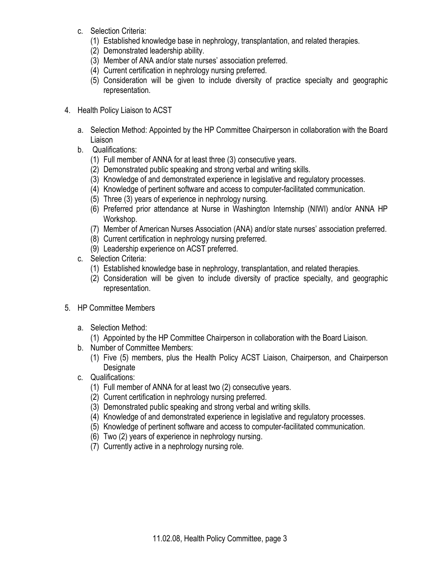- c. Selection Criteria:
	- (1) Established knowledge base in nephrology, transplantation, and related therapies.
	- (2) Demonstrated leadership ability.
	- (3) Member of ANA and/or state nurses' association preferred.
	- (4) Current certification in nephrology nursing preferred.
	- (5) Consideration will be given to include diversity of practice specialty and geographic representation.
- 4. Health Policy Liaison to ACST
	- a. Selection Method: Appointed by the HP Committee Chairperson in collaboration with the Board Liaison
	- b. Qualifications:
		- (1) Full member of ANNA for at least three (3) consecutive years.
		- (2) Demonstrated public speaking and strong verbal and writing skills.
		- (3) Knowledge of and demonstrated experience in legislative and regulatory processes.
		- (4) Knowledge of pertinent software and access to computer-facilitated communication.
		- (5) Three (3) years of experience in nephrology nursing.
		- (6) Preferred prior attendance at Nurse in Washington Internship (NIWI) and/or ANNA HP Workshop.
		- (7) Member of American Nurses Association (ANA) and/or state nurses' association preferred.
		- (8) Current certification in nephrology nursing preferred.
		- (9) Leadership experience on ACST preferred.
	- c. Selection Criteria:
		- (1) Established knowledge base in nephrology, transplantation, and related therapies.
		- (2) Consideration will be given to include diversity of practice specialty, and geographic representation.
- 5. HP Committee Members
	- a. Selection Method:
		- (1) Appointed by the HP Committee Chairperson in collaboration with the Board Liaison.
	- b. Number of Committee Members:
		- (1) Five (5) members, plus the Health Policy ACST Liaison, Chairperson, and Chairperson **Designate**
	- c. Qualifications:
		- (1) Full member of ANNA for at least two (2) consecutive years.
		- (2) Current certification in nephrology nursing preferred.
		- (3) Demonstrated public speaking and strong verbal and writing skills.
		- (4) Knowledge of and demonstrated experience in legislative and regulatory processes.
		- (5) Knowledge of pertinent software and access to computer-facilitated communication.
		- (6) Two (2) years of experience in nephrology nursing.
		- (7) Currently active in a nephrology nursing role.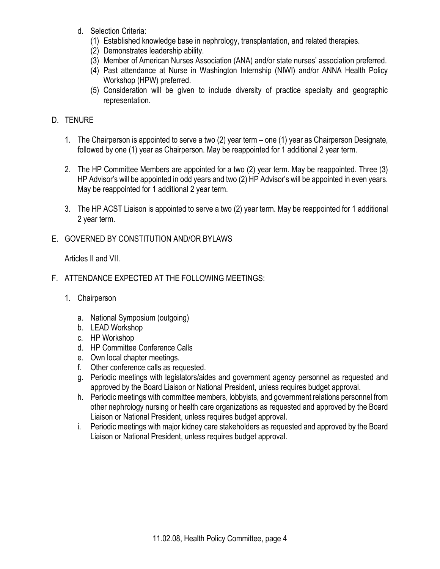- d. Selection Criteria:
	- (1) Established knowledge base in nephrology, transplantation, and related therapies.
	- (2) Demonstrates leadership ability.
	- (3) Member of American Nurses Association (ANA) and/or state nurses' association preferred.
	- (4) Past attendance at Nurse in Washington Internship (NIWI) and/or ANNA Health Policy Workshop (HPW) preferred.
	- (5) Consideration will be given to include diversity of practice specialty and geographic representation.

## D. TENURE

- 1. The Chairperson is appointed to serve a two (2) year term one (1) year as Chairperson Designate, followed by one (1) year as Chairperson. May be reappointed for 1 additional 2 year term.
- 2. The HP Committee Members are appointed for a two (2) year term. May be reappointed. Three (3) HP Advisor's will be appointed in odd years and two (2) HP Advisor's will be appointed in even years. May be reappointed for 1 additional 2 year term.
- 3. The HP ACST Liaison is appointed to serve a two (2) year term. May be reappointed for 1 additional 2 year term.
- E. GOVERNED BY CONSTITUTION AND/OR BYLAWS

Articles II and VII.

- F. ATTENDANCE EXPECTED AT THE FOLLOWING MEETINGS:
	- 1. Chairperson
		- a. National Symposium (outgoing)
		- b. LEAD Workshop
		- c. HP Workshop
		- d. HP Committee Conference Calls
		- e. Own local chapter meetings.
		- f. Other conference calls as requested.
		- g. Periodic meetings with legislators/aides and government agency personnel as requested and approved by the Board Liaison or National President, unless requires budget approval.
		- h. Periodic meetings with committee members, lobbyists, and government relations personnel from other nephrology nursing or health care organizations as requested and approved by the Board Liaison or National President, unless requires budget approval.
		- i. Periodic meetings with major kidney care stakeholders as requested and approved by the Board Liaison or National President, unless requires budget approval.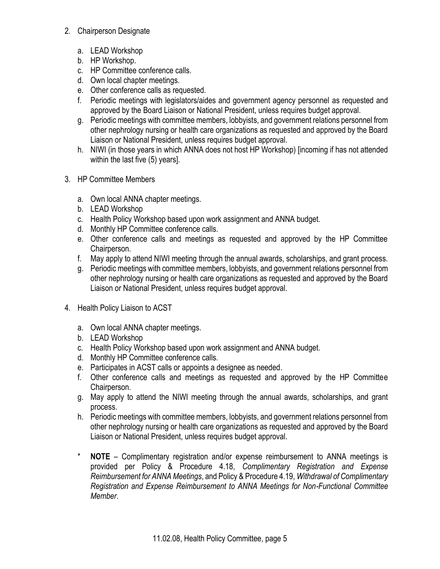### 2. Chairperson Designate

- a. LEAD Workshop
- b. HP Workshop.
- c. HP Committee conference calls.
- d. Own local chapter meetings.
- e. Other conference calls as requested.
- f. Periodic meetings with legislators/aides and government agency personnel as requested and approved by the Board Liaison or National President, unless requires budget approval.
- g. Periodic meetings with committee members, lobbyists, and government relations personnel from other nephrology nursing or health care organizations as requested and approved by the Board Liaison or National President, unless requires budget approval.
- h. NIWI (in those years in which ANNA does not host HP Workshop) [incoming if has not attended within the last five (5) years].
- 3. HP Committee Members
	- a. Own local ANNA chapter meetings.
	- b. LEAD Workshop
	- c. Health Policy Workshop based upon work assignment and ANNA budget.
	- d. Monthly HP Committee conference calls.
	- e. Other conference calls and meetings as requested and approved by the HP Committee Chairperson.
	- f. May apply to attend NIWI meeting through the annual awards, scholarships, and grant process.
	- g. Periodic meetings with committee members, lobbyists, and government relations personnel from other nephrology nursing or health care organizations as requested and approved by the Board Liaison or National President, unless requires budget approval.
- 4. Health Policy Liaison to ACST
	- a. Own local ANNA chapter meetings.
	- b. LEAD Workshop
	- c. Health Policy Workshop based upon work assignment and ANNA budget.
	- d. Monthly HP Committee conference calls.
	- e. Participates in ACST calls or appoints a designee as needed.
	- f. Other conference calls and meetings as requested and approved by the HP Committee Chairperson.
	- g. May apply to attend the NIWI meeting through the annual awards, scholarships, and grant process.
	- h. Periodic meetings with committee members, lobbyists, and government relations personnel from other nephrology nursing or health care organizations as requested and approved by the Board Liaison or National President, unless requires budget approval.
	- \* **NOTE** Complimentary registration and/or expense reimbursement to ANNA meetings is provided per Policy & Procedure 4.18, *Complimentary Registration and Expense Reimbursement for ANNA Meetings*, and Policy & Procedure 4.19, *Withdrawal of Complimentary Registration and Expense Reimbursement to ANNA Meetings for Non-Functional Committee Member*.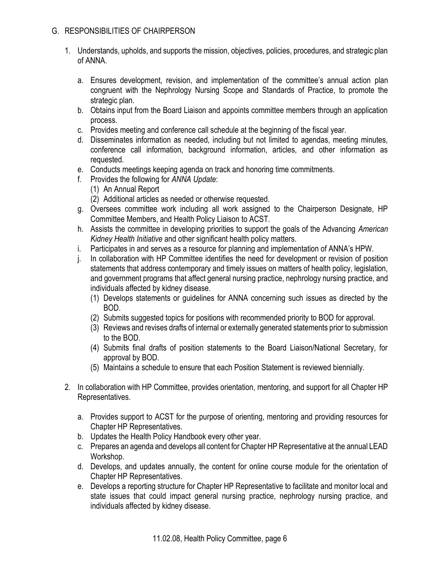### G. RESPONSIBILITIES OF CHAIRPERSON

- 1. Understands, upholds, and supports the mission, objectives, policies, procedures, and strategic plan of ANNA.
	- a. Ensures development, revision, and implementation of the committee's annual action plan congruent with the Nephrology Nursing Scope and Standards of Practice, to promote the strategic plan.
	- b. Obtains input from the Board Liaison and appoints committee members through an application process.
	- c. Provides meeting and conference call schedule at the beginning of the fiscal year.
	- d. Disseminates information as needed, including but not limited to agendas, meeting minutes, conference call information, background information, articles, and other information as requested.
	- e. Conducts meetings keeping agenda on track and honoring time commitments.
	- f. Provides the following for *ANNA Update*:
		- (1) An Annual Report
		- (2) Additional articles as needed or otherwise requested.
	- g. Oversees committee work including all work assigned to the Chairperson Designate, HP Committee Members, and Health Policy Liaison to ACST.
	- h. Assists the committee in developing priorities to support the goals of the Advancing *American Kidney Health Initiative* and other significant health policy matters.
	- i. Participates in and serves as a resource for planning and implementation of ANNA's HPW.
	- j. In collaboration with HP Committee identifies the need for development or revision of position statements that address contemporary and timely issues on matters of health policy, legislation, and government programs that affect general nursing practice, nephrology nursing practice, and individuals affected by kidney disease.
		- (1) Develops statements or guidelines for ANNA concerning such issues as directed by the BOD.
		- (2) Submits suggested topics for positions with recommended priority to BOD for approval.
		- (3) Reviews and revises drafts of internal or externally generated statements prior to submission to the BOD.
		- (4) Submits final drafts of position statements to the Board Liaison/National Secretary, for approval by BOD.
		- (5) Maintains a schedule to ensure that each Position Statement is reviewed biennially.
- 2. In collaboration with HP Committee, provides orientation, mentoring, and support for all Chapter HP Representatives.
	- a. Provides support to ACST for the purpose of orienting, mentoring and providing resources for Chapter HP Representatives.
	- b. Updates the Health Policy Handbook every other year.
	- c. Prepares an agenda and develops all content for Chapter HP Representative at the annual LEAD Workshop.
	- d. Develops, and updates annually, the content for online course module for the orientation of Chapter HP Representatives.
	- e. Develops a reporting structure for Chapter HP Representative to facilitate and monitor local and state issues that could impact general nursing practice, nephrology nursing practice, and individuals affected by kidney disease.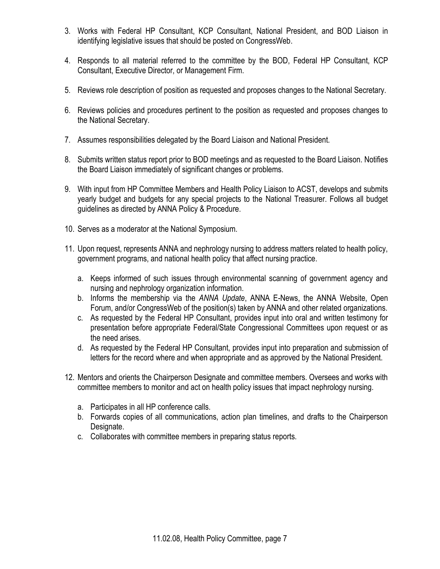- 3. Works with Federal HP Consultant, KCP Consultant, National President, and BOD Liaison in identifying legislative issues that should be posted on CongressWeb.
- 4. Responds to all material referred to the committee by the BOD, Federal HP Consultant, KCP Consultant, Executive Director, or Management Firm.
- 5. Reviews role description of position as requested and proposes changes to the National Secretary.
- 6. Reviews policies and procedures pertinent to the position as requested and proposes changes to the National Secretary.
- 7. Assumes responsibilities delegated by the Board Liaison and National President.
- 8. Submits written status report prior to BOD meetings and as requested to the Board Liaison. Notifies the Board Liaison immediately of significant changes or problems.
- 9. With input from HP Committee Members and Health Policy Liaison to ACST, develops and submits yearly budget and budgets for any special projects to the National Treasurer. Follows all budget guidelines as directed by ANNA Policy & Procedure.
- 10. Serves as a moderator at the National Symposium.
- 11. Upon request, represents ANNA and nephrology nursing to address matters related to health policy, government programs, and national health policy that affect nursing practice.
	- a. Keeps informed of such issues through environmental scanning of government agency and nursing and nephrology organization information.
	- b. Informs the membership via the *ANNA Update*, ANNA E-News, the ANNA Website, Open Forum, and/or CongressWeb of the position(s) taken by ANNA and other related organizations.
	- c. As requested by the Federal HP Consultant, provides input into oral and written testimony for presentation before appropriate Federal/State Congressional Committees upon request or as the need arises.
	- d. As requested by the Federal HP Consultant, provides input into preparation and submission of letters for the record where and when appropriate and as approved by the National President.
- 12. Mentors and orients the Chairperson Designate and committee members. Oversees and works with committee members to monitor and act on health policy issues that impact nephrology nursing.
	- a. Participates in all HP conference calls.
	- b. Forwards copies of all communications, action plan timelines, and drafts to the Chairperson Designate.
	- c. Collaborates with committee members in preparing status reports.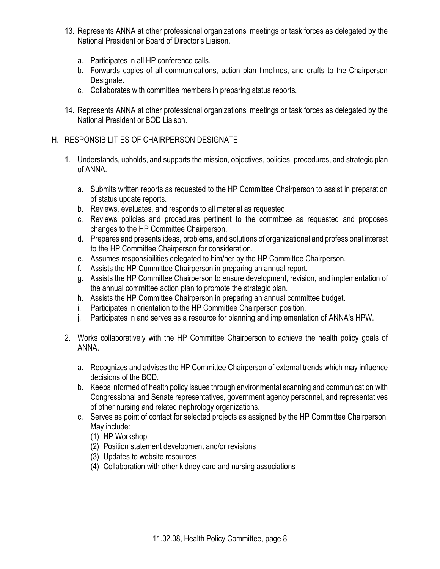- 13. Represents ANNA at other professional organizations' meetings or task forces as delegated by the National President or Board of Director's Liaison.
	- a. Participates in all HP conference calls.
	- b. Forwards copies of all communications, action plan timelines, and drafts to the Chairperson Designate.
	- c. Collaborates with committee members in preparing status reports.
- 14. Represents ANNA at other professional organizations' meetings or task forces as delegated by the National President or BOD Liaison.

#### H. RESPONSIBILITIES OF CHAIRPERSON DESIGNATE

- 1. Understands, upholds, and supports the mission, objectives, policies, procedures, and strategic plan of ANNA.
	- a. Submits written reports as requested to the HP Committee Chairperson to assist in preparation of status update reports.
	- b. Reviews, evaluates, and responds to all material as requested.
	- c. Reviews policies and procedures pertinent to the committee as requested and proposes changes to the HP Committee Chairperson.
	- d. Prepares and presents ideas, problems, and solutions of organizational and professional interest to the HP Committee Chairperson for consideration.
	- e. Assumes responsibilities delegated to him/her by the HP Committee Chairperson.
	- f. Assists the HP Committee Chairperson in preparing an annual report.
	- g. Assists the HP Committee Chairperson to ensure development, revision, and implementation of the annual committee action plan to promote the strategic plan.
	- h. Assists the HP Committee Chairperson in preparing an annual committee budget.
	- i. Participates in orientation to the HP Committee Chairperson position.
	- j. Participates in and serves as a resource for planning and implementation of ANNA's HPW.
- 2. Works collaboratively with the HP Committee Chairperson to achieve the health policy goals of ANNA.
	- a. Recognizes and advises the HP Committee Chairperson of external trends which may influence decisions of the BOD.
	- b. Keeps informed of health policy issues through environmental scanning and communication with Congressional and Senate representatives, government agency personnel, and representatives of other nursing and related nephrology organizations.
	- c. Serves as point of contact for selected projects as assigned by the HP Committee Chairperson. May include:
		- (1) HP Workshop
		- (2) Position statement development and/or revisions
		- (3) Updates to website resources
		- (4) Collaboration with other kidney care and nursing associations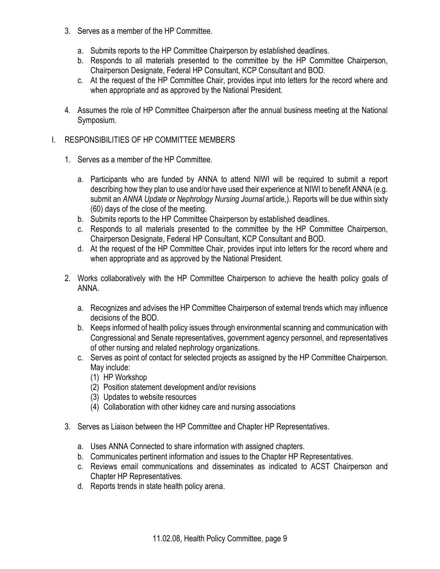- 3. Serves as a member of the HP Committee.
	- a. Submits reports to the HP Committee Chairperson by established deadlines.
	- b. Responds to all materials presented to the committee by the HP Committee Chairperson, Chairperson Designate, Federal HP Consultant, KCP Consultant and BOD.
	- c. At the request of the HP Committee Chair, provides input into letters for the record where and when appropriate and as approved by the National President.
- 4. Assumes the role of HP Committee Chairperson after the annual business meeting at the National Symposium.

## I. RESPONSIBILITIES OF HP COMMITTEE MEMBERS

- 1. Serves as a member of the HP Committee.
	- a. Participants who are funded by ANNA to attend NIWI will be required to submit a report describing how they plan to use and/or have used their experience at NIWI to benefit ANNA (e.g. submit an *ANNA Update* or *Nephrology Nursing Journal* article,). Reports will be due within sixty (60) days of the close of the meeting.
	- b. Submits reports to the HP Committee Chairperson by established deadlines.
	- c. Responds to all materials presented to the committee by the HP Committee Chairperson, Chairperson Designate, Federal HP Consultant, KCP Consultant and BOD.
	- d. At the request of the HP Committee Chair, provides input into letters for the record where and when appropriate and as approved by the National President.
- 2. Works collaboratively with the HP Committee Chairperson to achieve the health policy goals of ANNA.
	- a. Recognizes and advises the HP Committee Chairperson of external trends which may influence decisions of the BOD.
	- b. Keeps informed of health policy issues through environmental scanning and communication with Congressional and Senate representatives, government agency personnel, and representatives of other nursing and related nephrology organizations.
	- c. Serves as point of contact for selected projects as assigned by the HP Committee Chairperson. May include:
		- (1) HP Workshop
		- (2) Position statement development and/or revisions
		- (3) Updates to website resources
		- (4) Collaboration with other kidney care and nursing associations
- 3. Serves as Liaison between the HP Committee and Chapter HP Representatives.
	- a. Uses ANNA Connected to share information with assigned chapters.
	- b. Communicates pertinent information and issues to the Chapter HP Representatives.
	- c. Reviews email communications and disseminates as indicated to ACST Chairperson and Chapter HP Representatives.
	- d. Reports trends in state health policy arena.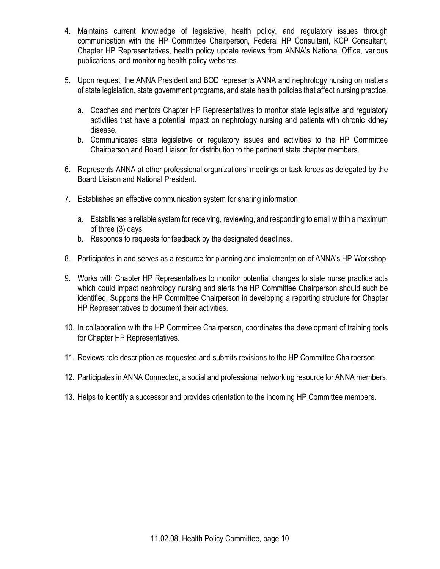- 4. Maintains current knowledge of legislative, health policy, and regulatory issues through communication with the HP Committee Chairperson, Federal HP Consultant, KCP Consultant, Chapter HP Representatives, health policy update reviews from ANNA's National Office, various publications, and monitoring health policy websites.
- 5. Upon request, the ANNA President and BOD represents ANNA and nephrology nursing on matters of state legislation, state government programs, and state health policies that affect nursing practice.
	- a. Coaches and mentors Chapter HP Representatives to monitor state legislative and regulatory activities that have a potential impact on nephrology nursing and patients with chronic kidney disease.
	- b. Communicates state legislative or regulatory issues and activities to the HP Committee Chairperson and Board Liaison for distribution to the pertinent state chapter members.
- 6. Represents ANNA at other professional organizations' meetings or task forces as delegated by the Board Liaison and National President.
- 7. Establishes an effective communication system for sharing information.
	- a. Establishes a reliable system for receiving, reviewing, and responding to email within a maximum of three (3) days.
	- b. Responds to requests for feedback by the designated deadlines.
- 8. Participates in and serves as a resource for planning and implementation of ANNA's HP Workshop.
- 9. Works with Chapter HP Representatives to monitor potential changes to state nurse practice acts which could impact nephrology nursing and alerts the HP Committee Chairperson should such be identified. Supports the HP Committee Chairperson in developing a reporting structure for Chapter HP Representatives to document their activities.
- 10. In collaboration with the HP Committee Chairperson, coordinates the development of training tools for Chapter HP Representatives.
- 11. Reviews role description as requested and submits revisions to the HP Committee Chairperson.
- 12. Participates in ANNA Connected, a social and professional networking resource for ANNA members.
- 13. Helps to identify a successor and provides orientation to the incoming HP Committee members.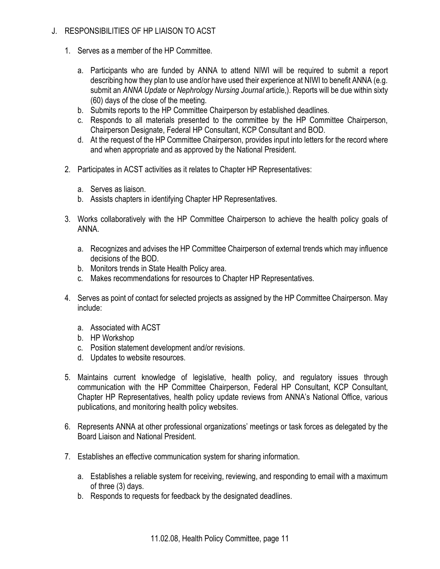### J. RESPONSIBILITIES OF HP LIAISON TO ACST

- 1. Serves as a member of the HP Committee.
	- a. Participants who are funded by ANNA to attend NIWI will be required to submit a report describing how they plan to use and/or have used their experience at NIWI to benefit ANNA (e.g. submit an *ANNA Update* or *Nephrology Nursing Journal* article,). Reports will be due within sixty (60) days of the close of the meeting.
	- b. Submits reports to the HP Committee Chairperson by established deadlines.
	- c. Responds to all materials presented to the committee by the HP Committee Chairperson, Chairperson Designate, Federal HP Consultant, KCP Consultant and BOD.
	- d. At the request of the HP Committee Chairperson, provides input into letters for the record where and when appropriate and as approved by the National President.
- 2. Participates in ACST activities as it relates to Chapter HP Representatives:
	- a. Serves as liaison.
	- b. Assists chapters in identifying Chapter HP Representatives.
- 3. Works collaboratively with the HP Committee Chairperson to achieve the health policy goals of ANNA.
	- a. Recognizes and advises the HP Committee Chairperson of external trends which may influence decisions of the BOD.
	- b. Monitors trends in State Health Policy area.
	- c. Makes recommendations for resources to Chapter HP Representatives.
- 4. Serves as point of contact for selected projects as assigned by the HP Committee Chairperson. May include:
	- a. Associated with ACST
	- b. HP Workshop
	- c. Position statement development and/or revisions.
	- d. Updates to website resources.
- 5. Maintains current knowledge of legislative, health policy, and regulatory issues through communication with the HP Committee Chairperson, Federal HP Consultant, KCP Consultant, Chapter HP Representatives, health policy update reviews from ANNA's National Office, various publications, and monitoring health policy websites.
- 6. Represents ANNA at other professional organizations' meetings or task forces as delegated by the Board Liaison and National President.
- 7. Establishes an effective communication system for sharing information.
	- a. Establishes a reliable system for receiving, reviewing, and responding to email with a maximum of three (3) days.
	- b. Responds to requests for feedback by the designated deadlines.